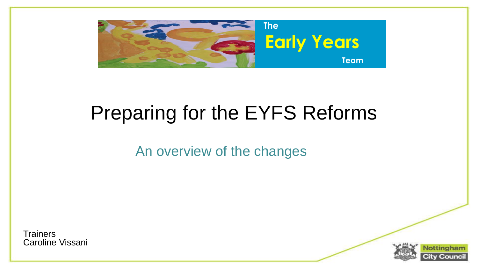

#### Preparing for the EYFS Reforms

An overview of the changes

**Trainers** Caroline Vissani

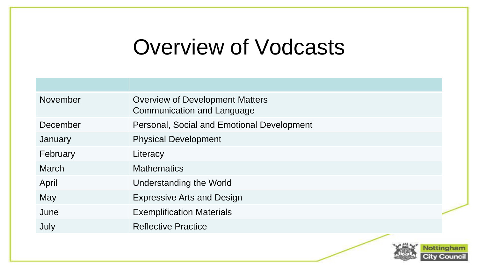#### Overview of Vodcasts

| November | <b>Overview of Development Matters</b><br><b>Communication and Language</b> |  |
|----------|-----------------------------------------------------------------------------|--|
| December | Personal, Social and Emotional Development                                  |  |
| January  | <b>Physical Development</b>                                                 |  |
| February | Literacy                                                                    |  |
| March    | <b>Mathematics</b>                                                          |  |
| April    | Understanding the World                                                     |  |
| May      | <b>Expressive Arts and Design</b>                                           |  |
| June     | <b>Exemplification Materials</b>                                            |  |
| July     | <b>Reflective Practice</b>                                                  |  |

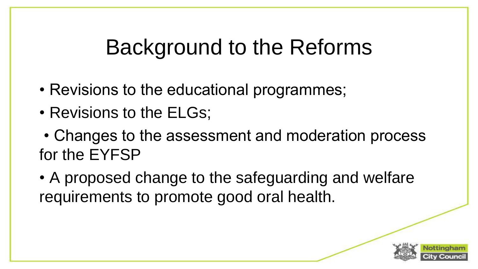# Background to the Reforms

- Revisions to the educational programmes;
- Revisions to the ELGs;
- Changes to the assessment and moderation process for the EYFSP
- A proposed change to the safeguarding and welfare requirements to promote good oral health.

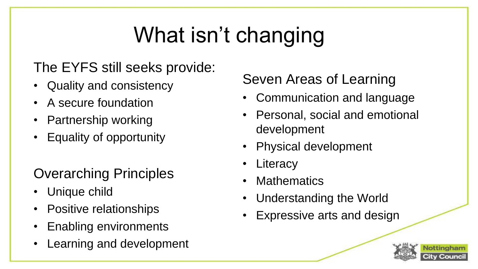# What isn't changing

#### The EYFS still seeks provide:

- Quality and consistency
- A secure foundation
- Partnership working
- Equality of opportunity

#### Overarching Principles

- Unique child
- Positive relationships
- Enabling environments
- Learning and development

#### Seven Areas of Learning

- Communication and language
- Personal, social and emotional development
- Physical development
- **Literacy**
- **Mathematics**
- Understanding the World
- **Expressive arts and design**

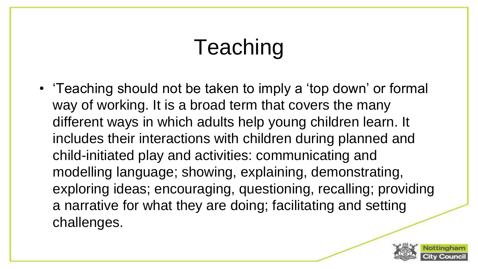# Teaching

• 'Teaching should not be taken to imply a 'top down' or formal way of working. It is a broad term that covers the many different ways in which adults help young children learn. It includes their interactions with children during planned and child-initiated play and activities: communicating and modelling language; showing, explaining, demonstrating, exploring ideas; encouraging, questioning, recalling; providing a narrative for what they are doing; facilitating and setting challenges.

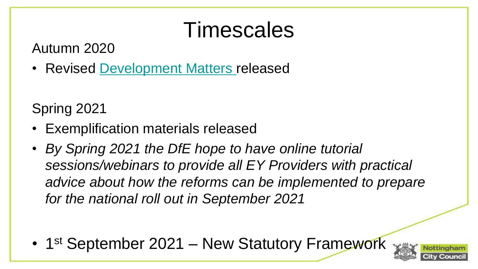#### Timescales

Autumn 2020

• Revised [Development Matters r](https://assets.publishing.service.gov.uk/government/uploads/system/uploads/attachment_data/file/914443/Development_Matters_-_Non-statutory_curriculum_guidance_for_the_early_years_foundation_stage__1_.pdf)eleased

Spring 2021

- Exemplification materials released
- *By Spring 2021 the DfE hope to have online tutorial sessions/webinars to provide all EY Providers with practical advice about how the reforms can be implemented to prepare for the national roll out in September 2021*

• 1<sup>st</sup> September 2021 – New Statutory Framework

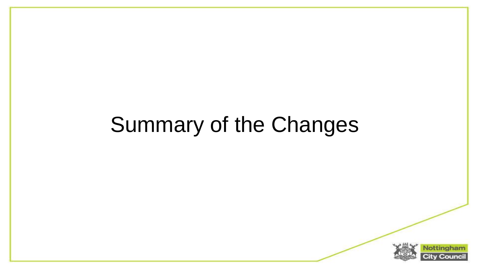# Summary of the Changes

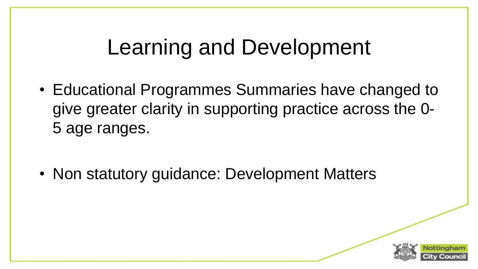## Learning and Development

• Educational Programmes Summaries have changed to give greater clarity in supporting practice across the 0- 5 age ranges.

• Non statutory guidance: Development Matters

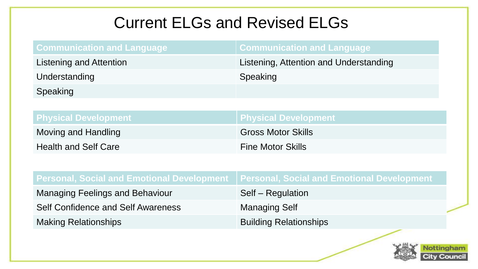#### Current ELGs and Revised ELGs

| <b>Communication and Language</b>      |
|----------------------------------------|
| Listening, Attention and Understanding |
| Speaking                               |
|                                        |
|                                        |
| <b>Physical Development</b>            |
| <b>Gross Motor Skills</b>              |
| <b>Fine Motor Skills</b>               |
|                                        |

| Personal, Social and Emotional Development ∣Personal, Social and Emotional Development |                               |  |
|----------------------------------------------------------------------------------------|-------------------------------|--|
| <b>Managing Feelings and Behaviour</b>                                                 | Self – Regulation             |  |
| <b>Self Confidence and Self Awareness</b>                                              | <b>Managing Self</b>          |  |
| <b>Making Relationships</b>                                                            | <b>Building Relationships</b> |  |

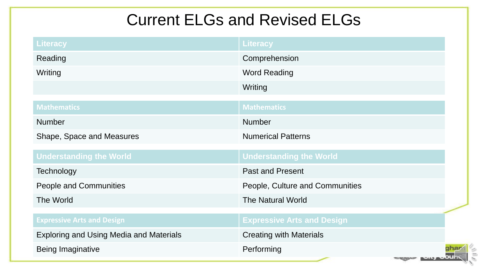#### Current ELGs and Revised ELGs

| Literacy                                       | Literacy                          |
|------------------------------------------------|-----------------------------------|
| Reading                                        | Comprehension                     |
| Writing                                        | <b>Word Reading</b>               |
|                                                | Writing                           |
| <b>Mathematics</b>                             | <b>Mathematics</b>                |
| <b>Number</b>                                  | <b>Number</b>                     |
| Shape, Space and Measures                      | <b>Numerical Patterns</b>         |
| <b>Understanding the World</b>                 | <b>Understanding the World</b>    |
| <b>Technology</b>                              | <b>Past and Present</b>           |
| <b>People and Communities</b>                  | People, Culture and Communities   |
| The World                                      | <b>The Natural World</b>          |
| <b>Expressive Arts and Design</b>              | <b>Expressive Arts and Design</b> |
| <b>Exploring and Using Media and Materials</b> | <b>Creating with Materials</b>    |
| Being Imaginative                              | Performing                        |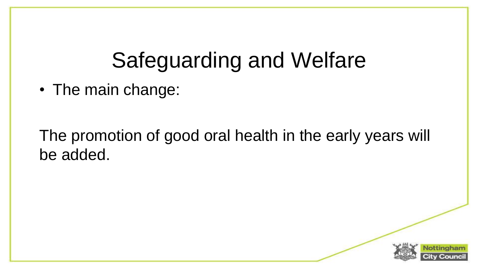### Safeguarding and Welfare

• The main change:

The promotion of good oral health in the early years will be added.

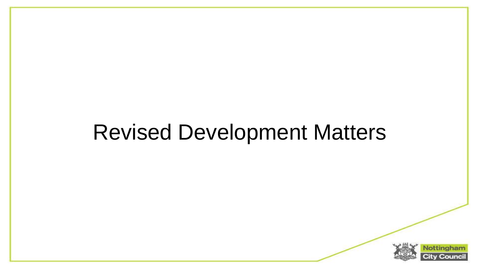### Revised Development Matters

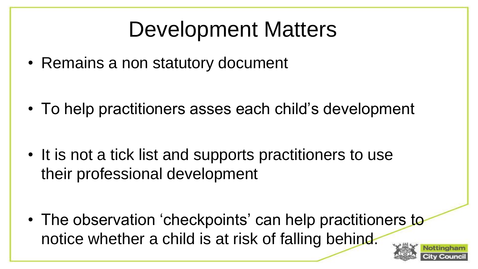# Development Matters

• Remains a non statutory document

• To help practitioners asses each child's development

• It is not a tick list and supports practitioners to use their professional development

• The observation 'checkpoints' can help practitioners to notice whether a child is at risk of falling behind.

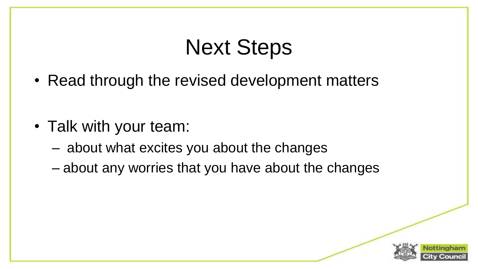### Next Steps

• Read through the revised development matters

- Talk with your team:
	- about what excites you about the changes
	- about any worries that you have about the changes

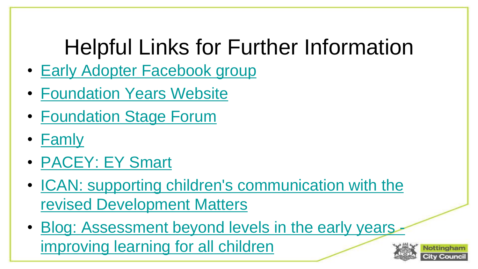# Helpful Links for Further Information

- [Early Adopter Facebook group](https://development-matters.us17.list-manage.com/track/click?u=9e192018473862d36547f8358&id=92d56bd28e&e=8386aef8a8)
- [Foundation Years Website](https://development-matters.us17.list-manage.com/track/click?u=9e192018473862d36547f8358&id=003c00b5de&e=8386aef8a8)
- [Foundation Stage Forum](https://development-matters.us17.list-manage.com/track/click?u=9e192018473862d36547f8358&id=1b25483708&e=8386aef8a8)
- **[Famly](https://development-matters.us17.list-manage.com/track/click?u=9e192018473862d36547f8358&id=4fe3580b9c&e=8386aef8a8)**
- [PACEY: EY](https://development-matters.us17.list-manage.com/track/click?u=9e192018473862d36547f8358&id=bf77f290fc&e=8386aef8a8) [Smart](https://development-matters.us17.list-manage.com/track/click?u=9e192018473862d36547f8358&id=01ede7b2da&e=8386aef8a8)
- [ICAN: supporting children's communication with the](https://development-matters.us17.list-manage.com/track/click?u=9e192018473862d36547f8358&id=4df3ac476f&e=8386aef8a8)  revised Development Matters
- Blog: Assessment beyond levels in the early years improving learning for all children